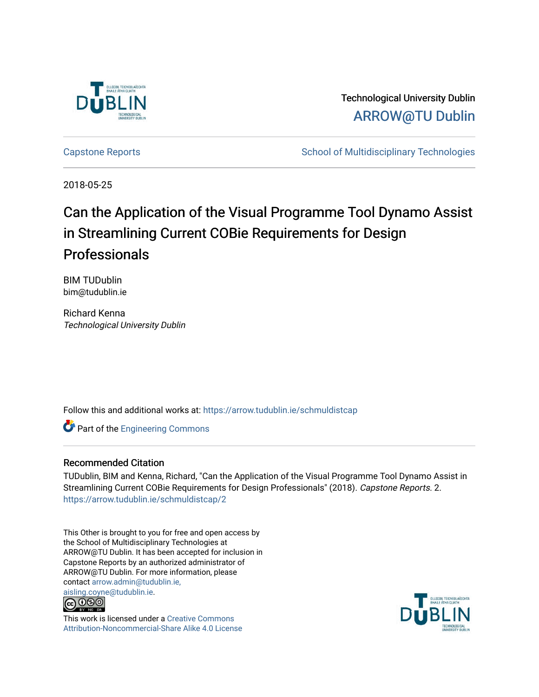

Technological University Dublin [ARROW@TU Dublin](https://arrow.tudublin.ie/) 

[Capstone Reports](https://arrow.tudublin.ie/schmuldistcap) **School of Multidisciplinary Technologies** School of Multidisciplinary Technologies

2018-05-25

# Can the Application of the Visual Programme Tool Dynamo Assist in Streamlining Current COBie Requirements for Design Professionals

BIM TUDublin bim@tudublin.ie

Richard Kenna Technological University Dublin

Follow this and additional works at: [https://arrow.tudublin.ie/schmuldistcap](https://arrow.tudublin.ie/schmuldistcap?utm_source=arrow.tudublin.ie%2Fschmuldistcap%2F2&utm_medium=PDF&utm_campaign=PDFCoverPages)

Part of the [Engineering Commons](http://network.bepress.com/hgg/discipline/217?utm_source=arrow.tudublin.ie%2Fschmuldistcap%2F2&utm_medium=PDF&utm_campaign=PDFCoverPages)

## Recommended Citation

TUDublin, BIM and Kenna, Richard, "Can the Application of the Visual Programme Tool Dynamo Assist in Streamlining Current COBie Requirements for Design Professionals" (2018). Capstone Reports. 2. [https://arrow.tudublin.ie/schmuldistcap/2](https://arrow.tudublin.ie/schmuldistcap/2?utm_source=arrow.tudublin.ie%2Fschmuldistcap%2F2&utm_medium=PDF&utm_campaign=PDFCoverPages)

This Other is brought to you for free and open access by the School of Multidisciplinary Technologies at ARROW@TU Dublin. It has been accepted for inclusion in Capstone Reports by an authorized administrator of ARROW@TU Dublin. For more information, please contact [arrow.admin@tudublin.ie,](mailto:arrow.admin@tudublin.ie,%20aisling.coyne@tudublin.ie)  [aisling.coyne@tudublin.ie.](mailto:arrow.admin@tudublin.ie,%20aisling.coyne@tudublin.ie)<br>© 000



This work is licensed under a [Creative Commons](http://creativecommons.org/licenses/by-nc-sa/4.0/) [Attribution-Noncommercial-Share Alike 4.0 License](http://creativecommons.org/licenses/by-nc-sa/4.0/)

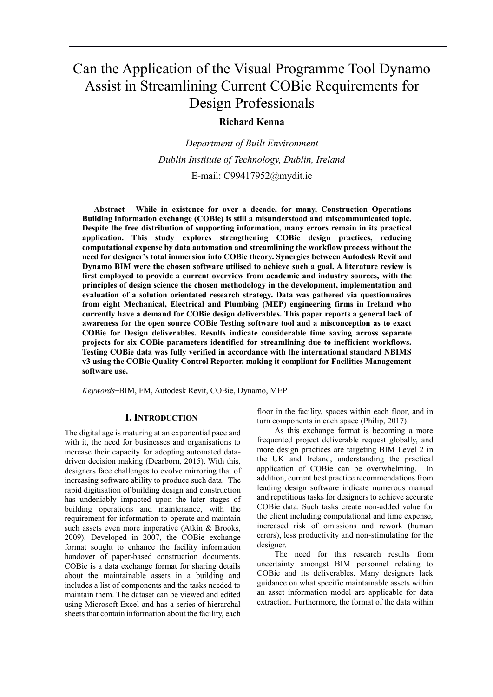# Can the Application of the Visual Programme Tool Dynamo Assist in Streamlining Current COBie Requirements for Design Professionals

## **Richard Kenna**

*Department of Built Environment Dublin Institute of Technology, Dublin, Ireland* E-mail: C99417952@mydit.ie

**Abstract - While in existence for over a decade, for many, Construction Operations Building information exchange (COBie) is still a misunderstood and miscommunicated topic. Despite the free distribution of supporting information, many errors remain in its practical application. This study explores strengthening COBie design practices, reducing computational expense by data automation and streamlining the workflow process without the need for designer's total immersion into COBie theory. Synergies between Autodesk Revit and Dynamo BIM were the chosen software utilised to achieve such a goal. A literature review is first employed to provide a current overview from academic and industry sources, with the principles of design science the chosen methodology in the development, implementation and evaluation of a solution orientated research strategy. Data was gathered via questionnaires from eight Mechanical, Electrical and Plumbing (MEP) engineering firms in Ireland who currently have a demand for COBie design deliverables. This paper reports a general lack of awareness for the open source COBie Testing software tool and a misconception as to exact COBie for Design deliverables. Results indicate considerable time saving across separate projects for six COBie parameters identified for streamlining due to inefficient workflows. Testing COBie data was fully verified in accordance with the international standard NBIMS v3 using the COBie Quality Control Reporter, making it compliant for Facilities Management software use.**

*Keywords* **̶**BIM, FM, Autodesk Revit, COBie, Dynamo, MEP

#### **I. INTRODUCTION**

The digital age is maturing at an exponential pace and with it, the need for businesses and organisations to increase their capacity for adopting automated datadriven decision making (Dearborn, 2015). With this, designers face challenges to evolve mirroring that of increasing software ability to produce such data. The rapid digitisation of building design and construction has undeniably impacted upon the later stages of building operations and maintenance, with the requirement for information to operate and maintain such assets even more imperative (Atkin & Brooks, 2009). Developed in 2007, the COBie exchange format sought to enhance the facility information handover of paper-based construction documents. COBie is a data exchange format for sharing details about the maintainable assets in a building and includes a list of components and the tasks needed to maintain them. The dataset can be viewed and edited using Microsoft Excel and has a series of hierarchal sheets that contain information about the facility, each

floor in the facility, spaces within each floor, and in turn components in each space (Philip, 2017).

As this exchange format is becoming a more frequented project deliverable request globally, and more design practices are targeting BIM Level 2 in the UK and Ireland, understanding the practical application of COBie can be overwhelming. In addition, current best practice recommendations from leading design software indicate numerous manual and repetitious tasks for designers to achieve accurate COBie data. Such tasks create non-added value for the client including computational and time expense, increased risk of omissions and rework (human errors), less productivity and non-stimulating for the designer.

The need for this research results from uncertainty amongst BIM personnel relating to COBie and its deliverables. Many designers lack guidance on what specific maintainable assets within an asset information model are applicable for data extraction. Furthermore, the format of the data within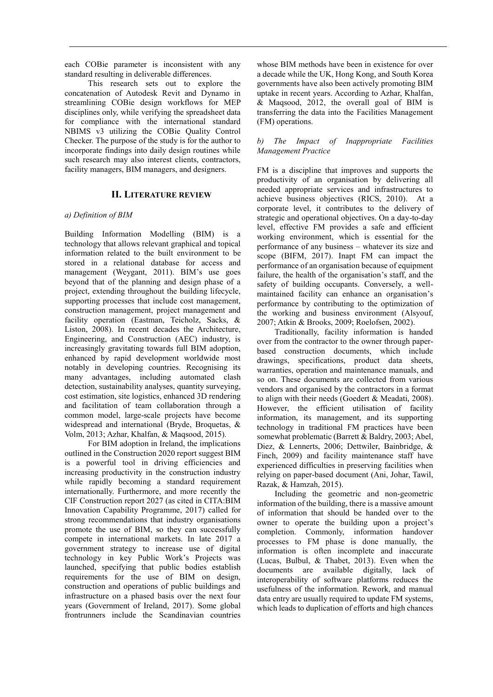each COBie parameter is inconsistent with any standard resulting in deliverable differences.

This research sets out to explore the concatenation of Autodesk Revit and Dynamo in streamlining COBie design workflows for MEP disciplines only, while verifying the spreadsheet data for compliance with the international standard NBIMS v3 utilizing the COBie Quality Control Checker. The purpose of the study is for the author to incorporate findings into daily design routines while such research may also interest clients, contractors, facility managers, BIM managers, and designers.

## **II. LITERATURE REVIEW**

## *a) Definition of BIM*

Building Information Modelling (BIM) is a technology that allows relevant graphical and topical information related to the built environment to be stored in a relational database for access and management (Weygant, 2011). BIM's use goes beyond that of the planning and design phase of a project, extending throughout the building lifecycle, supporting processes that include cost management, construction management, project management and facility operation (Eastman, Teicholz, Sacks, & Liston, 2008). In recent decades the Architecture, Engineering, and Construction (AEC) industry, is increasingly gravitating towards full BIM adoption, enhanced by rapid development worldwide most notably in developing countries. Recognising its many advantages, including automated clash detection, sustainability analyses, quantity surveying, cost estimation, site logistics, enhanced 3D rendering and facilitation of team collaboration through a common model, large-scale projects have become widespread and international (Bryde, Broquetas, & Volm, 2013; Azhar, Khalfan, & Maqsood, 2015)*.*

For BIM adoption in Ireland, the implications outlined in the Construction 2020 report suggest BIM is a powerful tool in driving efficiencies and increasing productivity in the construction industry while rapidly becoming a standard requirement internationally. Furthermore, and more recently the CIF Construction report 2027 (as cited in CITA:BIM Innovation Capability Programme, 2017) called for strong recommendations that industry organisations promote the use of BIM, so they can successfully compete in international markets. In late 2017 a government strategy to increase use of digital technology in key Public Work's Projects was launched, specifying that public bodies establish requirements for the use of BIM on design, construction and operations of public buildings and infrastructure on a phased basis over the next four years (Government of Ireland, 2017). Some global frontrunners include the Scandinavian countries

whose BIM methods have been in existence for over a decade while the UK, Hong Kong, and South Korea governments have also been actively promoting BIM uptake in recent years. According to Azhar, Khalfan, & Maqsood, 2012, the overall goal of BIM is transferring the data into the Facilities Management (FM) operations.

## *b) The Impact of Inappropriate Facilities Management Practice*

FM is a discipline that improves and supports the productivity of an organisation by delivering all needed appropriate services and infrastructures to achieve business objectives (RICS, 2010). At a corporate level, it contributes to the delivery of strategic and operational objectives. On a day-to-day level, effective FM provides a safe and efficient working environment, which is essential for the performance of any business – whatever its size and scope (BIFM, 2017). Inapt FM can impact the performance of an organisation because of equipment failure, the health of the organisation's staff, and the safety of building occupants. Conversely, a wellmaintained facility can enhance an organisation's performance by contributing to the optimization of the working and business environment (Alsyouf, 2007; Atkin & Brooks, 2009; Roelofsen, 2002).

Traditionally, facility information is handed over from the contractor to the owner through paperbased construction documents, which include drawings, specifications, product data sheets, warranties, operation and maintenance manuals, and so on. These documents are collected from various vendors and organised by the contractors in a format to align with their needs (Goedert & Meadati, 2008). However, the efficient utilisation of facility information, its management, and its supporting technology in traditional FM practices have been somewhat problematic (Barrett & Baldry, 2003; Abel, Diez, & Lennerts, 2006; Dettwiler, Bainbridge, & Finch, 2009) and facility maintenance staff have experienced difficulties in preserving facilities when relying on paper-based document (Ani, Johar, Tawil, Razak, & Hamzah, 2015).

Including the geometric and non-geometric information of the building, there is a massive amount of information that should be handed over to the owner to operate the building upon a project's completion. Commonly, information handover processes to FM phase is done manually, the information is often incomplete and inaccurate (Lucas, Bulbul, & Thabet, 2013). Even when the documents are available digitally, lack of interoperability of software platforms reduces the usefulness of the information. Rework, and manual data entry are usually required to update FM systems, which leads to duplication of efforts and high chances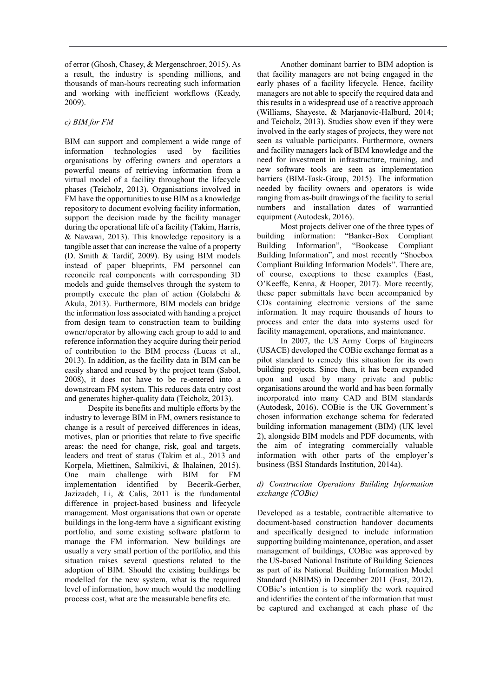of error (Ghosh, Chasey, & Mergenschroer, 2015). As a result, the industry is spending millions, and thousands of man-hours recreating such information and working with inefficient workflows (Keady, 2009).

## *c) BIM for FM*

BIM can support and complement a wide range of information technologies used by facilities organisations by offering owners and operators a powerful means of retrieving information from a virtual model of a facility throughout the lifecycle phases (Teicholz, 2013). Organisations involved in FM have the opportunities to use BIM as a knowledge repository to document evolving facility information, support the decision made by the facility manager during the operational life of a facility (Takim, Harris, & Nawawi, 2013). This knowledge repository is a tangible asset that can increase the value of a property (D. Smith & Tardif, 2009). By using BIM models instead of paper blueprints, FM personnel can reconcile real components with corresponding 3D models and guide themselves through the system to promptly execute the plan of action (Golabchi & Akula, 2013). Furthermore, BIM models can bridge the information loss associated with handing a project from design team to construction team to building owner/operator by allowing each group to add to and reference information they acquire during their period of contribution to the BIM process (Lucas et al., 2013). In addition, as the facility data in BIM can be easily shared and reused by the project team (Sabol, 2008), it does not have to be re-entered into a downstream FM system. This reduces data entry cost and generates higher-quality data (Teicholz, 2013).

Despite its benefits and multiple efforts by the industry to leverage BIM in FM, owners resistance to change is a result of perceived differences in ideas, motives, plan or priorities that relate to five specific areas: the need for change, risk, goal and targets, leaders and treat of status (Takim et al., 2013 and Korpela, Miettinen, Salmikivi, & Ihalainen, 2015). One main challenge with BIM for FM implementation identified by Becerik-Gerber, Jazizadeh, Li, & Calis, 2011 is the fundamental difference in project-based business and lifecycle management. Most organisations that own or operate buildings in the long-term have a significant existing portfolio, and some existing software platform to manage the FM information. New buildings are usually a very small portion of the portfolio, and this situation raises several questions related to the adoption of BIM. Should the existing buildings be modelled for the new system, what is the required level of information, how much would the modelling process cost, what are the measurable benefits etc.

Another dominant barrier to BIM adoption is that facility managers are not being engaged in the early phases of a facility lifecycle. Hence, facility managers are not able to specify the required data and this results in a widespread use of a reactive approach (Williams, Shayeste, & Marjanovic-Halburd, 2014; and Teicholz, 2013). Studies show even if they were involved in the early stages of projects, they were not seen as valuable participants. Furthermore, owners and facility managers lack of BIM knowledge and the need for investment in infrastructure, training, and new software tools are seen as implementation barriers (BIM-Task-Group, 2015). The information needed by facility owners and operators is wide ranging from as-built drawings of the facility to serial numbers and installation dates of warrantied equipment (Autodesk, 2016).

Most projects deliver one of the three types of building information: "Banker-Box Compliant Building Information", "Bookcase Compliant Building Information", and most recently "Shoebox Compliant Building Information Models". There are, of course, exceptions to these examples (East, O'Keeffe, Kenna, & Hooper, 2017). More recently, these paper submittals have been accompanied by CDs containing electronic versions of the same information. It may require thousands of hours to process and enter the data into systems used for facility management, operations, and maintenance.

In 2007, the US Army Corps of Engineers (USACE) developed the COBie exchange format as a pilot standard to remedy this situation for its own building projects. Since then, it has been expanded upon and used by many private and public organisations around the world and has been formally incorporated into many CAD and BIM standards (Autodesk, 2016). COBie is the UK Government's chosen information exchange schema for federated building information management (BIM) (UK level 2), alongside BIM models and PDF documents, with the aim of integrating commercially valuable information with other parts of the employer's business (BSI Standards Institution, 2014a).

## *d) Construction Operations Building Information exchange (COBie)*

Developed as a testable, contractible alternative to document-based construction handover documents and specifically designed to include information supporting building maintenance, operation, and asset management of buildings, COBie was approved by the US-based [National Institute of Building Sciences](https://en.wikipedia.org/wiki/National_Institute_of_Building_Sciences) as part of its National Building Information Model Standard (NBIMS) in December 2011 (East, 2012). COBie's intention is to simplify the work required and identifies the content of the information that must be captured and exchanged at each phase of the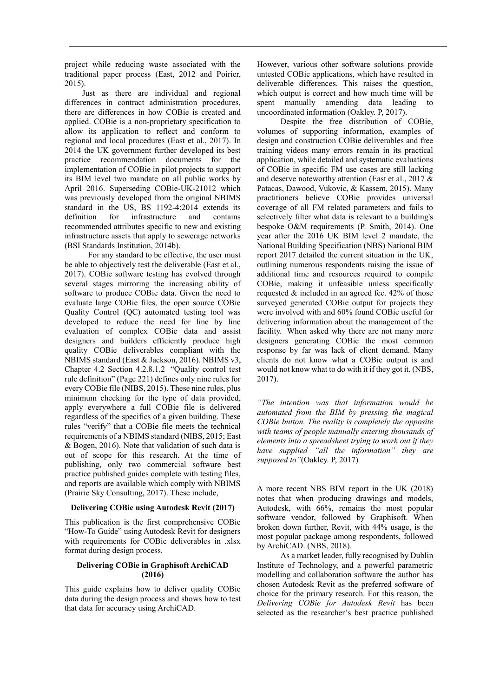project while reducing waste associated with the traditional paper process (East, 2012 and Poirier, 2015).

Just as there are individual and regional differences in contract administration procedures, there are differences in how COBie is created and applied. COBie is a non-proprietary specification to allow its application to reflect and conform to regional and local procedures (East et al., 2017). In 2014 the UK government further developed its best practice recommendation documents for the implementation of COBie in pilot projects to support its BIM level two mandate on all public works by April 2016. Superseding COBie-UK-21012 which was previously developed from the original NBIMS standard in the US, BS 1192-4:2014 extends its definition for infrastructure and contains recommended attributes specific to new and existing infrastructure assets that apply to sewerage networks (BSI Standards Institution, 2014b).

For any standard to be effective, the user must be able to objectively test the deliverable (East et al., 2017). COBie software testing has evolved through several stages mirroring the increasing ability of software to produce COBie data. Given the need to evaluate large COBie files, the open source COBie Quality Control (QC) automated testing tool was developed to reduce the need for line by line evaluation of complex COBie data and assist designers and builders efficiently produce high quality COBie deliverables compliant with the NBIMS standard (East & Jackson, 2016). NBIMS v3, Chapter 4.2 Section 4.2.8.1.2 "Quality control test rule definition" (Page 221) defines only nine rules for every COBie file (NIBS, 2015). These nine rules, plus minimum checking for the type of data provided, apply everywhere a full COBie file is delivered regardless of the specifics of a given building. These rules "verify" that a COBie file meets the technical requirements of a NBIMS standard (NIBS, 2015; East & Bogen, 2016). Note that validation of such data is out of scope for this research. At the time of publishing, only two commercial software best practice published guides complete with testing files, and reports are available which comply with NBIMS (Prairie Sky Consulting, 2017). These include,

## **Delivering COBie using Autodesk Revit (2017)**

This publication is the first comprehensive COBie "How-To Guide" using Autodesk Revit for designers with requirements for COBie deliverables in .xlsx format during design process.

## **Delivering COBie in Graphisoft ArchiCAD (2016)**

This guide explains how to deliver quality COBie data during the design process and shows how to test that data for accuracy using ArchiCAD.

However, various other software solutions provide untested COBie applications, which have resulted in deliverable differences. This raises the question, which output is correct and how much time will be spent manually amending data leading to uncoordinated information (Oakley. P, 2017).

Despite the free distribution of COBie, volumes of supporting information, examples of design and construction COBie deliverables and free training videos many errors remain in its practical application, while detailed and systematic evaluations of COBie in specific FM use cases are still lacking and deserve noteworthy attention (East et al., 2017 & Patacas, Dawood, Vukovic, & Kassem, 2015). Many practitioners believe COBie provides universal coverage of all FM related parameters and fails to selectively filter what data is relevant to a building's bespoke O&M requirements (P. Smith, 2014). One year after the 2016 UK BIM level 2 mandate, the National Building Specification (NBS) National BIM report 2017 detailed the current situation in the UK, outlining numerous respondents raising the issue of additional time and resources required to compile COBie, making it unfeasible unless specifically requested & included in an agreed fee. 42% of those surveyed generated COBie output for projects they were involved with and 60% found COBie useful for delivering information about the management of the facility. When asked why there are not many more designers generating COBie the most common response by far was lack of client demand. Many clients do not know what a COBie output is and would not know what to do with it if they got it. (NBS, 2017).

*"The intention was that information would be automated from the BIM by pressing the magical COBie button. The reality is completely the opposite with teams of people manually entering thousands of elements into a spreadsheet trying to work out if they have supplied "all the information" they are supposed to"*(Oakley. P, 2017)*.* 

A more recent NBS BIM report in the UK (2018) notes that when producing drawings and models, Autodesk, with 66%, remains the most popular software vendor, followed by Graphisoft. When broken down further, Revit, with 44% usage, is the most popular package among respondents, followed by ArchiCAD. (NBS, 2018).

As a market leader, fully recognised by Dublin Institute of Technology, and a powerful parametric modelling and collaboration software the author has chosen Autodesk Revit as the preferred software of choice for the primary research. For this reason, the *Delivering COBie for Autodesk Revit* has been selected as the researcher's best practice published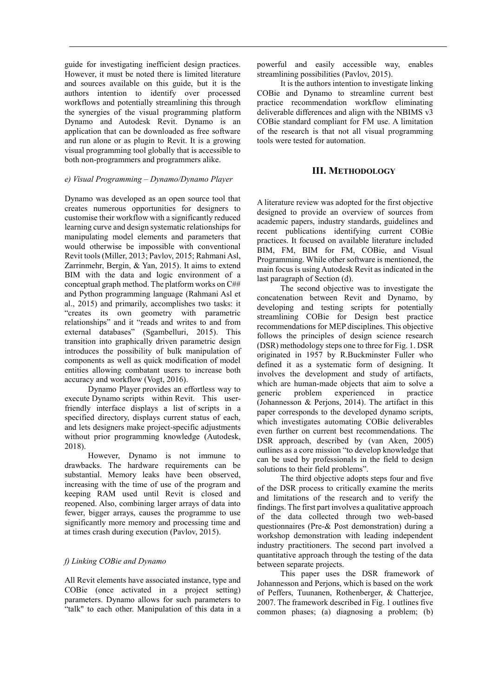guide for investigating inefficient design practices. However, it must be noted there is limited literature and sources available on this guide, but it is the authors intention to identify over processed workflows and potentially streamlining this through the synergies of the visual programming platform Dynamo and Autodesk Revit. Dynamo is an application that can be downloaded as free software and run alone or as plugin to Revit. It is a growing visual programming tool globally that is accessible to both non-programmers and programmers alike.

## *e) Visual Programming – Dynamo/Dynamo Player*

Dynamo was developed as an open source tool that creates numerous opportunities for designers to customise their workflow with a significantly reduced learning curve and design systematic relationships for manipulating model elements and parameters that would otherwise be impossible with conventional Revit tools (Miller, 2013; Pavlov, 2015; Rahmani Asl, Zarrinmehr, Bergin, & Yan, 2015). It aims to extend BIM with the data and logic environment of a conceptual graph method. The platform works on C## and Python programming language (Rahmani Asl et al., 2015) and primarily, accomplishes two tasks: it "creates its own geometry with parametric relationships" and it "reads and writes to and from external databases" (Sgambelluri, 2015). This transition into graphically driven parametric design introduces the possibility of bulk manipulation of components as well as quick modification of model entities allowing combatant users to increase both accuracy and workflow (Vogt, 2016).

Dynamo Player provides an effortless way to execute Dynamo scripts within Revit. This userfriendly interface displays a list of scripts in a specified directory, displays current status of each, and lets designers make project-specific adjustments without prior programming knowledge (Autodesk, 2018).

However, Dynamo is not immune to drawbacks. The hardware requirements can be substantial. Memory leaks have been observed, increasing with the time of use of the program and keeping RAM used until Revit is closed and reopened. Also, combining larger arrays of data into fewer, bigger arrays, causes the programme to use significantly more memory and processing time and at times crash during execution (Pavlov, 2015).

## *f) Linking COBie and Dynamo*

All Revit elements have associated instance, type and COBie (once activated in a project setting) parameters. Dynamo allows for such parameters to "talk" to each other. Manipulation of this data in a

powerful and easily accessible way, enables streamlining possibilities (Pavlov, 2015).

It is the authors intention to investigate linking COBie and Dynamo to streamline current best practice recommendation workflow eliminating deliverable differences and align with the NBIMS v3 COBie standard compliant for FM use. A limitation of the research is that not all visual programming tools were tested for automation.

## **III. METHODOLOGY**

A literature review was adopted for the first objective designed to provide an overview of sources from academic papers, industry standards, guidelines and recent publications identifying current COBie practices. It focused on available literature included BIM, FM, BIM for FM, COBie, and Visual Programming. While other software is mentioned, the main focus is using Autodesk Revit as indicated in the last paragraph of Section (d).

The second objective was to investigate the concatenation between Revit and Dynamo, by developing and testing scripts for potentially streamlining COBie for Design best practice recommendations for MEP disciplines. This objective follows the principles of design science research (DSR) methodology steps one to three for Fig. 1. DSR originated in 1957 by R.Buckminster Fuller who defined it as a systematic form of designing. It involves the development and study of artifacts, which are human-made objects that aim to solve a generic problem experienced in practice (Johannesson & Perjons, 2014). The artifact in this paper corresponds to the developed dynamo scripts, which investigates automating COBie deliverables even further on current best recommendations. The DSR approach, described by (van Aken, 2005) outlines as a core mission "to develop knowledge that can be used by professionals in the field to design solutions to their field problems".

The third objective adopts steps four and five of the DSR process to critically examine the merits and limitations of the research and to verify the findings. The first part involves a qualitative approach of the data collected through two web-based questionnaires (Pre-& Post demonstration) during a workshop demonstration with leading independent industry practitioners. The second part involved a quantitative approach through the testing of the data between separate projects.

This paper uses the DSR framework of Johannesson and Perjons, which is based on the work of Peffers, Tuunanen, Rothenberger, & Chatterjee, 2007. The framework described in Fig. 1 outlines five common phases; (a) diagnosing a problem; (b)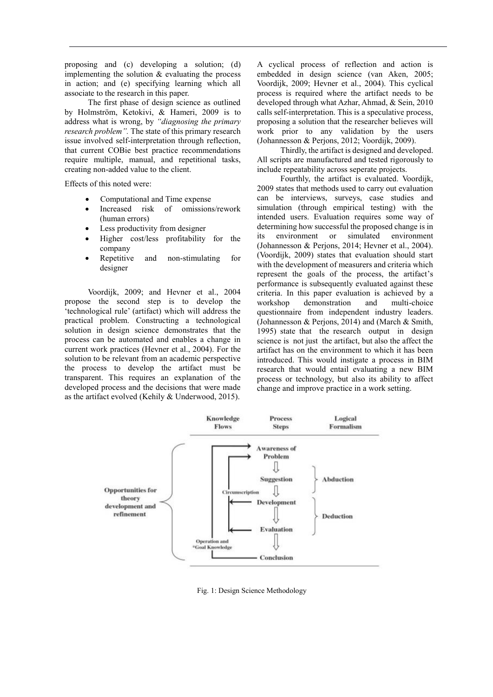proposing and (c) developing a solution; (d) implementing the solution & evaluating the process in action; and (e) specifying learning which all associate to the research in this paper.

The first phase of design science as outlined by Holmström, Ketokivi, & Hameri, 2009 is to address what is wrong, by *"diagnosing the primary research problem".* The state of this primary research issue involved self-interpretation through reflection, that current COBie best practice recommendations require multiple, manual, and repetitional tasks, creating non-added value to the client.

Effects of this noted were:

- Computational and Time expense
- Increased risk of omissions/rework (human errors)
- Less productivity from designer
- Higher cost/less profitability for the company
- Repetitive and non-stimulating for designer

Voordijk, 2009; and Hevner et al., 2004 propose the second step is to develop the 'technological rule' (artifact) which will address the practical problem. Constructing a technological solution in design science demonstrates that the process can be automated and enables a change in current work practices (Hevner et al., 2004). For the solution to be relevant from an academic perspective the process to develop the artifact must be transparent. This requires an explanation of the developed process and the decisions that were made as the artifact evolved (Kehily & Underwood, 2015).

A cyclical process of reflection and action is embedded in design science (van Aken, 2005; Voordijk, 2009; Hevner et al., 2004). This cyclical process is required where the artifact needs to be developed through what Azhar, Ahmad, & Sein, 2010 calls self-interpretation. This is a speculative process, proposing a solution that the researcher believes will work prior to any validation by the users (Johannesson & Perjons, 2012; Voordijk, 2009).

Thirdly, the artifact is designed and developed. All scripts are manufactured and tested rigorously to include repeatability across seperate projects.

Fourthly, the artifact is evaluated. Voordijk, 2009 states that methods used to carry out evaluation can be interviews, surveys, case studies and simulation (through empirical testing) with the intended users. Evaluation requires some way of determining how successful the proposed change is in its environment or simulated environment (Johannesson & Perjons, 2014; Hevner et al., 2004). (Voordijk, 2009) states that evaluation should start with the development of measurers and criteria which represent the goals of the process, the artifact's performance is subsequently evaluated against these criteria. In this paper evaluation is achieved by a workshop demonstration and multi-choice questionnaire from independent industry leaders. (Johannesson & Perjons, 2014) and (March & Smith, 1995) state that the research output in design science is not just the artifact, but also the affect the artifact has on the environment to which it has been introduced. This would instigate a process in BIM research that would entail evaluating a new BIM process or technology, but also its ability to affect change and improve practice in a work setting.



Fig. 1: Design Science Methodology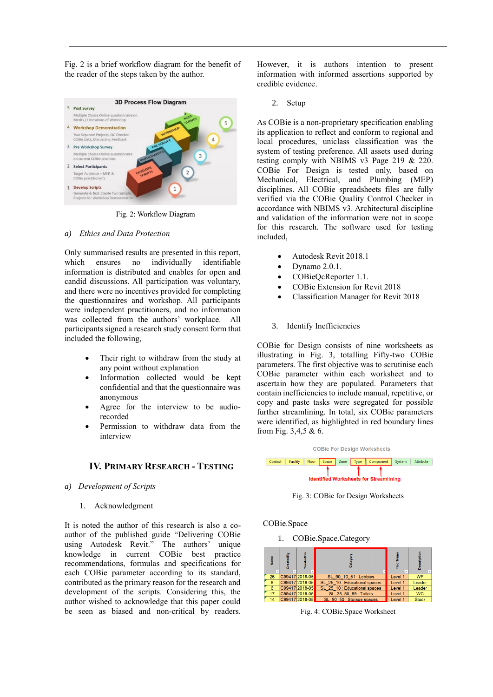Fig. 2 is a brief workflow diagram for the benefit of the reader of the steps taken by the author.



Fig. 2: Workflow Diagram

#### *a) Ethics and Data Protection*

Only summarised results are presented in this report, which ensures no individually identifiable information is distributed and enables for open and candid discussions. All participation was voluntary, and there were no incentives provided for completing the questionnaires and workshop. All participants were independent practitioners, and no information was collected from the authors' workplace. All participants signed a research study consent form that included the following,

- Their right to withdraw from the study at any point without explanation
- Information collected would be kept confidential and that the questionnaire was anonymous
- Agree for the interview to be audiorecorded
- Permission to withdraw data from the interview

## **IV. PRIMARY RESEARCH - TESTING**

- *a) Development of Scripts*
	- 1. Acknowledgment

It is noted the author of this research is also a coauthor of the published guide "Delivering COBie using Autodesk Revit." The authors' unique knowledge in current COBie best practice recommendations, formulas and specifications for each COBie parameter according to its standard, contributed as the primary reason for the research and development of the scripts. Considering this, the author wished to acknowledge that this paper could be seen as biased and non-critical by readers.

However, it is authors intention to present information with informed assertions supported by credible evidence.

2. Setup

As COBie is a non-proprietary specification enabling its application to reflect and conform to regional and local procedures, uniclass classification was the system of testing preference. All assets used during testing comply with NBIMS v3 Page 219 & 220. COBie For Design is tested only, based on Mechanical, Electrical, and Plumbing (MEP) disciplines. All COBie spreadsheets files are fully verified via the COBie Quality Control Checker in accordance with NBIMS v3. Architectural discipline and validation of the information were not in scope for this research. The software used for testing included,

- Autodesk Revit 2018.1
- Dynamo 2.0.1.
- COBieQcReporter 1.1.
- COBie Extension for Revit 2018
- Classification Manager for Revit 2018

## 3. Identify Inefficiencies

COBie for Design consists of nine worksheets as illustrating in Fig. 3, totalling Fifty-two COBie parameters. The first objective was to scrutinise each COBie parameter within each worksheet and to ascertain how they are populated. Parameters that contain inefficiencies to include manual, repetitive, or copy and paste tasks were segregated for possible further streamlining. In total, six COBie parameters were identified, as highlighted in red boundary lines from Fig. 3,4,5 & 6.



Fig. 3: COBie for Design Worksheets

COBie.Space

1. COBie.Space.Category



Fig. 4: COBie.Space Worksheet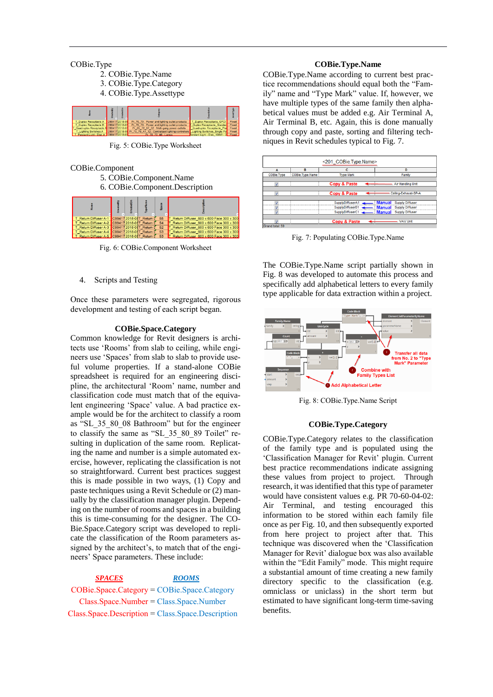#### COBie.Type

- 2. COBie.Type.Name
- 3. COBie.Type.Category
- 4. COBie.Type.Assettype

|                                       |               | σ             |                                                   |                                    |       |
|---------------------------------------|---------------|---------------|---------------------------------------------------|------------------------------------|-------|
| Duplex Receptacle A                   |               | C994172018-05 | Pr 70 70 : Power and lighting outlet products     | T Duplex Receptacle GFCI           | Fixed |
| Duplex Receptacle B                   | C994172018-05 |               | Pr_70_70 ; Power and lighting outlet products     | Duplex Receptacle_Standar          | Fixed |
| Quadruplex Receptacle A C994172018-05 |               |               | Pr 65 72 97 52 : Multi-gang power outlets         | Quadruplex Receptacle Pla          | Fixed |
| Lighting Switches A                   |               | :994172018-05 | Pr 70 70 47 12 : Centralized lighting controllers | <b>Lighting Switches Single Po</b> | Fixed |
|                                       |               |               | __________                                        |                                    |       |

Fig. 5: COBie.Type Worksheet

## COBie.Component

- 5. COBie.Component.Name
- 6. COBie.Component.Description

| Return Diffuser A-1 C99417 2018-01 TReturn I |  | 55 | T Return Diffuser 600 x 600 Face 300 x 300 |
|----------------------------------------------|--|----|--------------------------------------------|
| Return Diffuser A-2 C99417 2018-05T Return   |  | 54 | Return Diffuser 600 x 600 Face 300 x 300   |
| Return Diffuser A-3 C99417 2018-05 T Return  |  | 52 | Return Diffuser 600 x 600 Face 300 x 300   |
| Return Diffuser A-4 C99417 2018-05 TReturn   |  | 53 | Return Diffuser 600 x 600 Face 300 x 300   |
| Return Diffuser A-5 C99417 2018-05T Return   |  | 53 | Return Diffuser 600 x 600 Face 300 x 300   |

Fig. 6: COBie.Component Worksheet

## 4. Scripts and Testing

Once these parameters were segregated, rigorous development and testing of each script began.

#### **COBie.Space.Category**

Common knowledge for Revit designers is architects use 'Rooms' from slab to ceiling, while engineers use 'Spaces' from slab to slab to provide useful volume properties. If a stand-alone COBie spreadsheet is required for an engineering discipline, the architectural 'Room' name, number and classification code must match that of the equivalent engineering 'Space' value. A bad practice example would be for the architect to classify a room as "SL\_35\_80\_08 Bathroom" but for the engineer to classify the same as "SL\_35\_80\_89 Toilet" resulting in duplication of the same room. Replicating the name and number is a simple automated exercise, however, replicating the classification is not so straightforward. Current best practices suggest this is made possible in two ways, (1) Copy and paste techniques using a Revit Schedule or (2) manually by the classification manager plugin. Depending on the number of rooms and spaces in a building this is time-consuming for the designer. The CO-Bie.Space.Category script was developed to replicate the classification of the Room parameters assigned by the architect's, to match that of the engineers' Space parameters. These include:

## *SPACES ROOMS*

COBie.Space.Category = COBie.Space.Category Class.Space.Number = Class.Space.Number Class.Space.Description = Class.Space.Description

#### **COBie.Type.Name**

COBie.Type.Name according to current best practice recommendations should equal both the "Family" name and "Type Mark" value. If, however, we have multiple types of the same family then alphabetical values must be added e.g. Air Terminal A, Air Terminal B, etc. Again, this is done manually through copy and paste, sorting and filtering techniques in Revit schedules typical to Fig. 7.

|                 |                 | <201 COBie.Type.Name>   |                                         |
|-----------------|-----------------|-------------------------|-----------------------------------------|
| A               | B               | c                       | Đ                                       |
| COBie.Type      | COBie.Type.Name | <b>Type Mark</b>        | Family                                  |
|                 |                 |                         |                                         |
| v               |                 | <b>Copy &amp; Paste</b> | Air Handling Unit                       |
|                 |                 |                         |                                         |
| V               |                 | <b>Copy &amp; Paste</b> | Ceiling-Exhaust-SP-A                    |
|                 |                 |                         |                                         |
| $\overline{a}$  |                 | SupplyDiffuserA1        | <b>Manual</b><br><b>Supply Diffuser</b> |
| ÷,              |                 | SupplyDiffuserB1        | <b>Supply Diffuser</b><br><b>Manual</b> |
|                 |                 | SupplyDiffuserC1        | <b>Supply Diffuser</b><br><b>Manual</b> |
|                 |                 |                         |                                         |
| $\overline{a}$  |                 | <b>Copy &amp; Paste</b> | <b>VAV Unit</b>                         |
| Grand total: 59 |                 |                         |                                         |

Fig. 7: Populating COBie.Type.Name

The COBie.Type.Name script partially shown in Fig. 8 was developed to automate this process and specifically add alphabetical letters to every family type applicable for data extraction within a project.



Fig. 8: COBie.Type.Name Script

#### **COBie.Type.Category**

COBie.Type.Category relates to the classification of the family type and is populated using the 'Classification Manager for Revit' plugin. Current best practice recommendations indicate assigning these values from project to project. Through research, it was identified that this type of parameter would have consistent values e.g. PR 70-60-04-02: Air Terminal, and testing encouraged this information to be stored within each family file once as per Fig. 10, and then subsequently exported from here project to project after that. This technique was discovered when the 'Classification Manager for Revit' dialogue box was also available within the "Edit Family" mode. This might require a substantial amount of time creating a new family directory specific to the classification (e.g. omniclass or uniclass) in the short term but estimated to have significant long-term time-saving benefits.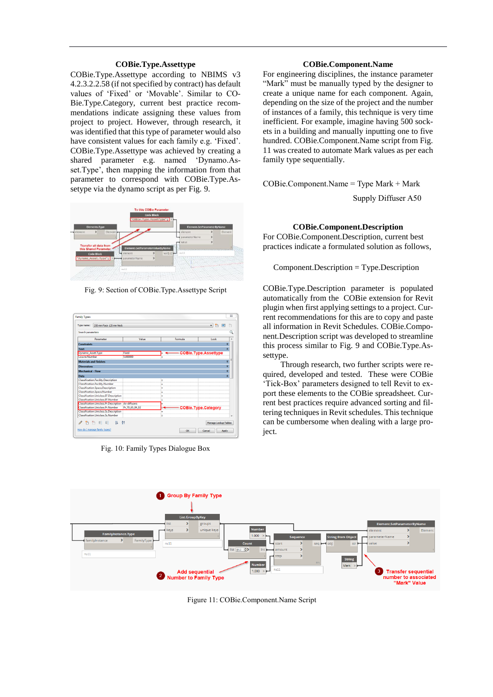#### **COBie.Type.Assettype**

COBie.Type.Assettype according to NBIMS v3 4.2.3.2.2.58 (if not specified by contract) has default values of 'Fixed' or 'Movable'. Similar to CO-Bie.Type.Category, current best practice recommendations indicate assigning these values from project to project. However, through research, it was identified that this type of parameter would also have consistent values for each family e.g. 'Fixed'. COBie.Type.Assettype was achieved by creating a shared parameter e.g. named 'Dynamo.Asset.Type', then mapping the information from that parameter to correspond with COBie.Type.Assetype via the dynamo script as per Fig. 9.



Fig. 9: Section of COBie.Type.Assettype Script



Fig. 10: Family Types Dialogue Box

#### **COBie.Component.Name**

For engineering disciplines, the instance parameter "Mark" must be manually typed by the designer to create a unique name for each component. Again, depending on the size of the project and the number of instances of a family, this technique is very time inefficient. For example, imagine having 500 sockets in a building and manually inputting one to five hundred. COBie.Component.Name script from Fig. 11 was created to automate Mark values as per each family type sequentially.

COBie.Component.Name = Type Mark + Mark

Supply Diffuser A50

#### **COBie.Component.Description**

For COBie.Component.Description, current best practices indicate a formulated solution as follows,

Component.Description = Type.Description

COBie.Type.Description parameter is populated automatically from the COBie extension for Revit plugin when first applying settings to a project. Current recommendations for this are to copy and paste all information in Revit Schedules. COBie.Component.Description script was developed to streamline this process similar to Fig. 9 and COBie.Type.Assettype.

Through research, two further scripts were required, developed and tested. These were COBie 'Tick-Box' parameters designed to tell Revit to export these elements to the COBie spreadsheet. Current best practices require advanced sorting and filtering techniques in Revit schedules. This technique can be cumbersome when dealing with a large proiect.



Figure 11: COBie.Component.Name Script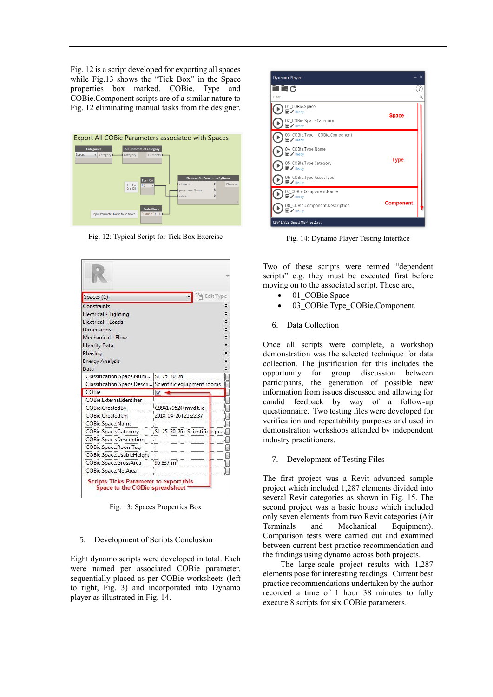Fig. 12 is a script developed for exporting all spaces while Fig.13 shows the "Tick Box" in the Space properties box marked. COBie. Type and COBie.Component scripts are of a similar nature to Fig. 12 eliminating manual tasks from the designer.



Fig. 12: Typical Script for Tick Box Exercise

| Spaces (1)                                             |                              | Edit Type |
|--------------------------------------------------------|------------------------------|-----------|
| Constraints                                            |                              | z         |
| Electrical - Lighting                                  |                              | č         |
| Electrical - Loads                                     |                              | ×         |
| Dimensions                                             |                              | ¥         |
| Mechanical - Flow                                      |                              | ×         |
| <b>Identity Data</b>                                   |                              | ¥         |
| Phasing                                                |                              | ×         |
| <b>Energy Analysis</b>                                 |                              | ×         |
| Data                                                   |                              | ⋩         |
| Classification.Space.Num                               | SL 25 30 76                  |           |
| Classification.Space.Descri Scientific equipment rooms |                              |           |
| COBie                                                  | $\overline{v}$               |           |
| COBie.ExternalIdentifier                               |                              |           |
| COBie.CreatedBy                                        | C99417952@mydit.ie           |           |
| COBie.CreatedOn                                        | 2018-04-26T21:22:37          |           |
| COBie.Space.Name                                       |                              |           |
| COBie.Space.Category                                   | SL_25_30_76 : Scientific equ |           |
| COBie.Space.Description                                |                              |           |
| COBie.Space.RoomTag                                    |                              |           |
| COBie.Space.UsableHeight                               |                              |           |
|                                                        | 96.837 m                     |           |
| COBie.Space.GrossArea                                  |                              |           |

Fig. 13: Spaces Properties Box

#### 5. Development of Scripts Conclusion

Eight dynamo scripts were developed in total. Each were named per associated COBie parameter, sequentially placed as per COBie worksheets (left to right, Fig. 3) and incorporated into Dynamo player as illustrated in Fig. 14.

| <b>Dynamo Player</b>                                      |                  | $\times$ |
|-----------------------------------------------------------|------------------|----------|
| ■■少                                                       |                  | ?        |
| Filter                                                    |                  | $\alpha$ |
| 01_COBie.Space<br>$\blacksquare$ / Ready                  | <b>Space</b>     |          |
| 02_COBie.Space.Category<br>$\blacksquare$ / Ready         |                  |          |
| 03_COBie.Type _ COBie.Component<br>$\blacksquare$ / Ready |                  |          |
| 04_COBie.Type.Name<br>$\blacksquare$ / Ready              |                  |          |
| 05_COBie.Type.Category<br>$\blacksquare$ / Ready          | <b>Type</b>      |          |
| 06_COBie.Type.AssetType<br>$\blacksquare$ / Ready         |                  |          |
| 07_COBie.Component.Name<br>$\blacksquare$ / Ready         |                  |          |
| 08_COBie.Component.Description<br>$\blacksquare$ / Ready  | <b>Component</b> |          |
| C99417952_Small MEP Test1.rvt                             |                  |          |

Fig. 14: Dynamo Player Testing Interface

Two of these scripts were termed "dependent scripts" e.g. they must be executed first before moving on to the associated script. These are,

- 01 COBie.Space
- 03 COBie.Type COBie.Component.
- 6. Data Collection

Once all scripts were complete, a workshop demonstration was the selected technique for data collection. The justification for this includes the opportunity for group discussion between participants, the generation of possible new information from issues discussed and allowing for candid feedback by way of a follow-up questionnaire. Two testing files were developed for verification and repeatability purposes and used in demonstration workshops attended by independent industry practitioners.

## 7. Development of Testing Files

The first project was a Revit advanced sample project which included 1,287 elements divided into several Revit categories as shown in Fig. 15. The second project was a basic house which included only seven elements from two Revit categories (Air Terminals and Mechanical Equipment). Comparison tests were carried out and examined between current best practice recommendation and the findings using dynamo across both projects.

The large-scale project results with 1,287 elements pose for interesting readings. Current best practice recommendations undertaken by the author recorded a time of 1 hour 38 minutes to fully execute 8 scripts for six COBie parameters.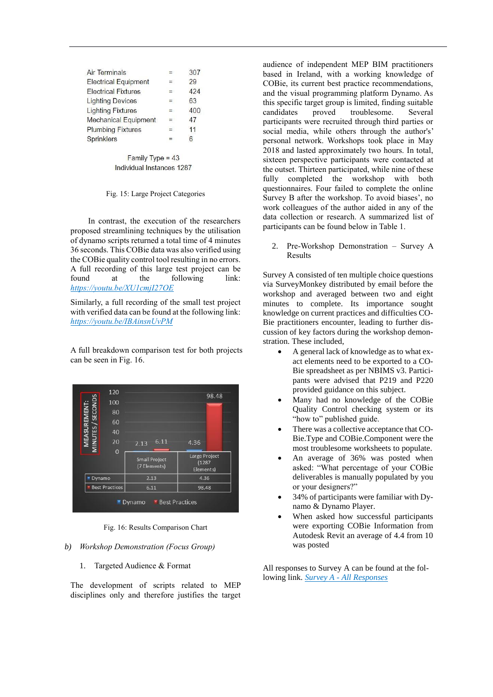| Air Terminals               | =   | 307 |
|-----------------------------|-----|-----|
| <b>Electrical Equipment</b> | $=$ | 29  |
| <b>Electrical Fixtures</b>  | $=$ | 424 |
| <b>Lighting Devices</b>     | $=$ | 63  |
| <b>Lighting Fixtures</b>    | =   | 400 |
| <b>Mechanical Equipment</b> | $=$ | 47  |
| <b>Plumbing Fixtures</b>    | $=$ | 11  |
| <b>Sprinklers</b>           |     | հ   |
|                             |     |     |

Family Type = 43 Individual Instances 1287

Fig. 15: Large Project Categories

In contrast, the execution of the researchers proposed streamlining techniques by the utilisation of dynamo scripts returned a total time of 4 minutes 36 seconds. This COBie data was also verified using the COBie quality control tool resulting in no errors. A full recording of this large test project can be found at the following link: *<https://youtu.be/XU1cmjI27OE>*

Similarly, a full recording of the small test project with verified data can be found at the following link: *<https://youtu.be/IBAinsnUvPM>*

A full breakdown comparison test for both projects can be seen in Fig. 16.

| <b>SECONDS</b><br>MEASUREMENT | 100                   |                                      | 98.48                                |
|-------------------------------|-----------------------|--------------------------------------|--------------------------------------|
|                               | 80                    |                                      |                                      |
|                               | 60                    |                                      |                                      |
|                               | 40                    |                                      |                                      |
| VIINUTES/                     | 20                    | 6.11<br>2.13                         | 4.36                                 |
|                               | $\overline{0}$        | <b>Small Project</b><br>(7 Elements) | Large Project<br>(1287)<br>Elements) |
| Dynamo                        |                       | 2.13                                 | 4.36                                 |
|                               | <b>Best Practices</b> | 6.11                                 | 98.48                                |

Fig. 16: Results Comparison Chart

#### *b) Workshop Demonstration (Focus Group)*

1. Targeted Audience & Format

The development of scripts related to MEP disciplines only and therefore justifies the target audience of independent MEP BIM practitioners based in Ireland, with a working knowledge of COBie, its current best practice recommendations, and the visual programming platform Dynamo. As this specific target group is limited, finding suitable candidates proved troublesome. Several participants were recruited through third parties or social media, while others through the author's' personal network. Workshops took place in May 2018 and lasted approximately two hours. In total, sixteen perspective participants were contacted at the outset. Thirteen participated, while nine of these fully completed the workshop with both questionnaires. Four failed to complete the online Survey B after the workshop. To avoid biases', no work colleagues of the author aided in any of the data collection or research. A summarized list of participants can be found below in Table 1.

2. Pre-Workshop Demonstration – Survey A Results

Survey A consisted of ten multiple choice questions via SurveyMonkey distributed by email before the workshop and averaged between two and eight minutes to complete. Its importance sought knowledge on current practices and difficulties CO-Bie practitioners encounter, leading to further discussion of key factors during the workshop demonstration. These included,

- A general lack of knowledge as to what exact elements need to be exported to a CO-Bie spreadsheet as per NBIMS v3. Participants were advised that P219 and P220 provided guidance on this subject.
- Many had no knowledge of the COBie Quality Control checking system or its "how to" published guide.
- There was a collective acceptance that CO-Bie.Type and COBie.Component were the most troublesome worksheets to populate.
- An average of 36% was posted when asked: "What percentage of your COBie deliverables is manually populated by you or your designers?"
- 34% of participants were familiar with Dynamo & Dynamo Player.
- When asked how successful participants were exporting COBie Information from Autodesk Revit an average of 4.4 from 10 was posted

All responses to Survey A can be found at the following link. *Survey A - [All Responses](https://drive.google.com/open?id=1DvGjYUBLECsk7MCQkFKiUew06PIoDOBX)*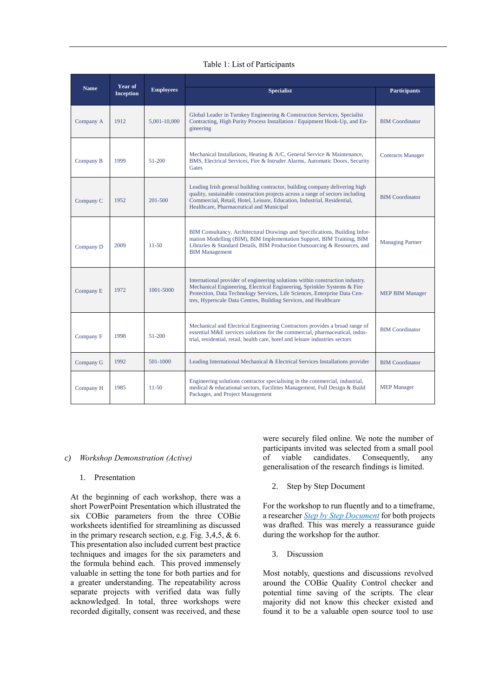## Table 1: List of Participants

| Year of           |                  |                  |                                                                                                                                                                                                                                                                                                            |                          |
|-------------------|------------------|------------------|------------------------------------------------------------------------------------------------------------------------------------------------------------------------------------------------------------------------------------------------------------------------------------------------------------|--------------------------|
| <b>Name</b>       | <b>Inception</b> | <b>Employees</b> | <b>Specialist</b>                                                                                                                                                                                                                                                                                          | <b>Participants</b>      |
| Company A<br>1912 |                  | 5.001-10.000     | Global Leader in Turnkey Engineering & Construction Services, Specialist<br>Contracting, High Purity Process Installation / Equipment Hook-Up, and En-<br>gineering                                                                                                                                        | <b>BIM</b> Coordinator   |
| Company B         | 1999             | 51-200           | Mechanical Installations, Heating & A/C, General Service & Maintenance,<br>BMS, Electrical Services, Fire & Intruder Alarms, Automatic Doors, Security<br>Gates                                                                                                                                            | <b>Contracts Manager</b> |
| Company C         | 1952             | 201-500          | Leading Irish general building contractor, building company delivering high<br>quality, sustainable construction projects across a range of sectors including<br>Commercial, Retail, Hotel, Leisure, Education, Industrial, Residential,<br>Healthcare, Pharmaceutical and Municipal                       | <b>BIM Coordinator</b>   |
| Company D         | 2009             | $11 - 50$        | BIM Consultancy, Architectural Drawings and Specifications, Building Infor-<br>mation Modelling (BIM), BIM Implementation Support, BIM Training, BIM<br>Libraries & Standard Details, BIM Production Outsourcing & Resources, and<br><b>BIM Management</b>                                                 | <b>Managing Partner</b>  |
| Company E         | 1972             | 1001-5000        | International provider of engineering solutions within construction industry.<br>Mechanical Engineering, Electrical Engineering, Sprinkler Systems & Fire<br>Protection, Data Technology Services, Life Sciences, Enterprise Data Cen-<br>tres, Hyperscale Data Centres, Building Services, and Healthcare | <b>MEP BIM Manager</b>   |
| Company F         | 1998             | 51-200           | Mechanical and Electrical Engineering Contractors provides a broad range of<br>essential M&E services solutions for the commercial, pharmaceutical, indus-<br>trial, residential, retail, health care, hotel and leisure industries sectors                                                                | <b>BIM</b> Coordinator   |
| Company G         | 1992             | 501-1000         | Leading International Mechanical & Electrical Services Installations provider                                                                                                                                                                                                                              | <b>BIM Coordinator</b>   |
| Company H         | 1985             | $11 - 50$        | Engineering solutions contractor specialising in the commercial, industrial,<br>medical & educational sectors, Facilities Management, Full Design & Build<br>Packages, and Project Management                                                                                                              | <b>MEP</b> Manager       |

#### *c) Workshop Demonstration (Active)*

#### 1. Presentation

At the beginning of each workshop, there was a short PowerPoint Presentation which illustrated the six COBie parameters from the three COBie worksheets identified for streamlining as discussed in the primary research section, e.g. Fig. 3,4,5, & 6. This presentation also included current best practice techniques and images for the six parameters and the formula behind each. This proved immensely valuable in setting the tone for both parties and for a greater understanding. The repeatability across separate projects with verified data was fully acknowledged. In total, three workshops were recorded digitally, consent was received, and these

were securely filed online. We note the number of participants invited was selected from a small pool of viable candidates. Consequently, any generalisation of the research findings is limited.

2. Step by Step Document

For the workshop to run fluently and to a timeframe, a researcher *[Step by Step Document](https://docs.google.com/document/d/1bum9UNkKBAALy0TZJerIwOupBtQ8GficRMJkTrNiPGI/edit)* for both projects was drafted. This was merely a reassurance guide during the workshop for the author.

3. Discussion

Most notably, questions and discussions revolved around the COBie Quality Control checker and potential time saving of the scripts. The clear majority did not know this checker existed and found it to be a valuable open source tool to use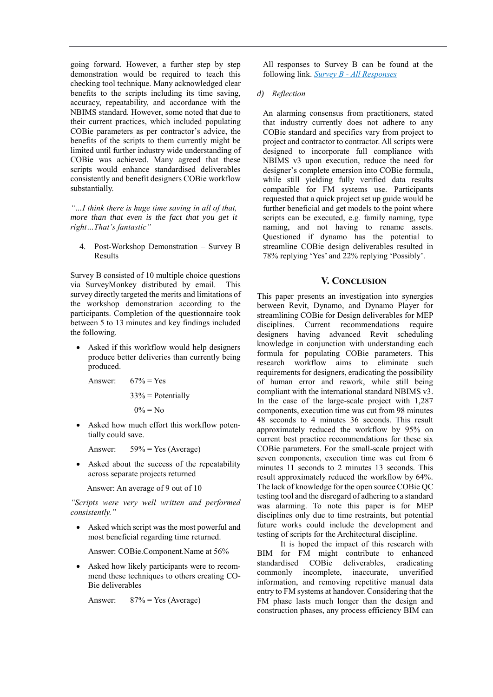going forward. However, a further step by step demonstration would be required to teach this checking tool technique. Many acknowledged clear benefits to the scripts including its time saving, accuracy, repeatability, and accordance with the NBIMS standard. However, some noted that due to their current practices, which included populating COBie parameters as per contractor's advice, the benefits of the scripts to them currently might be limited until further industry wide understanding of COBie was achieved. Many agreed that these scripts would enhance standardised deliverables consistently and benefit designers COBie workflow substantially.

*"…I think there is huge time saving in all of that, more than that even is the fact that you get it right…That's fantastic"*

4. Post-Workshop Demonstration – Survey B Results

Survey B consisted of 10 multiple choice questions via SurveyMonkey distributed by email. This survey directly targeted the merits and limitations of the workshop demonstration according to the participants. Completion of the questionnaire took between 5 to 13 minutes and key findings included the following.

• Asked if this workflow would help designers produce better deliveries than currently being produced.

Answer:  $67\% = Yes$ 

$$
33\% =
$$
 Potentially

 $0\% = No$ 

Asked how much effort this workflow potentially could save.

Answer:  $59\% = Yes$  (Average)

• Asked about the success of the repeatability across separate projects returned

Answer: An average of 9 out of 10

*"Scripts were very well written and performed consistently."* 

Asked which script was the most powerful and most beneficial regarding time returned.

Answer: COBie.Component.Name at 56%

Asked how likely participants were to recommend these techniques to others creating CO-Bie deliverables

Answer: 87% = Yes (Average)

All responses to Survey B can be found at the following link. *Survey B - [All Responses](https://drive.google.com/open?id=1B0SBjz5_mK9cwTz-e4oEXCcjttoWd1mX)*

## *d) Reflection*

An alarming consensus from practitioners, stated that industry currently does not adhere to any COBie standard and specifics vary from project to project and contractor to contractor. All scripts were designed to incorporate full compliance with NBIMS v3 upon execution, reduce the need for designer's complete emersion into COBie formula, while still yielding fully verified data results compatible for FM systems use. Participants requested that a quick project set up guide would be further beneficial and get models to the point where scripts can be executed, e.g*.* family naming, type naming, and not having to rename assets. Questioned if dynamo has the potential to streamline COBie design deliverables resulted in 78% replying 'Yes' and 22% replying 'Possibly'.

## **V. CONCLUSION**

This paper presents an investigation into synergies between Revit, Dynamo, and Dynamo Player for streamlining COBie for Design deliverables for MEP disciplines. Current recommendations require designers having advanced Revit scheduling knowledge in conjunction with understanding each formula for populating COBie parameters. This research workflow aims to eliminate such requirements for designers, eradicating the possibility of human error and rework, while still being compliant with the international standard NBIMS v3. In the case of the large-scale project with 1,287 components, execution time was cut from 98 minutes 48 seconds to 4 minutes 36 seconds. This result approximately reduced the workflow by 95% on current best practice recommendations for these six COBie parameters. For the small-scale project with seven components, execution time was cut from 6 minutes 11 seconds to 2 minutes 13 seconds. This result approximately reduced the workflow by 64%. The lack of knowledge for the open source COBie QC testing tool and the disregard of adhering to a standard was alarming. To note this paper is for MEP disciplines only due to time restraints, but potential future works could include the development and testing of scripts for the Architectural discipline.

It is hoped the impact of this research with BIM for FM might contribute to enhanced standardised COBie deliverables, eradicating commonly incomplete, inaccurate, unverified information, and removing repetitive manual data entry to FM systems at handover. Considering that the FM phase lasts much longer than the design and construction phases, any process efficiency BIM can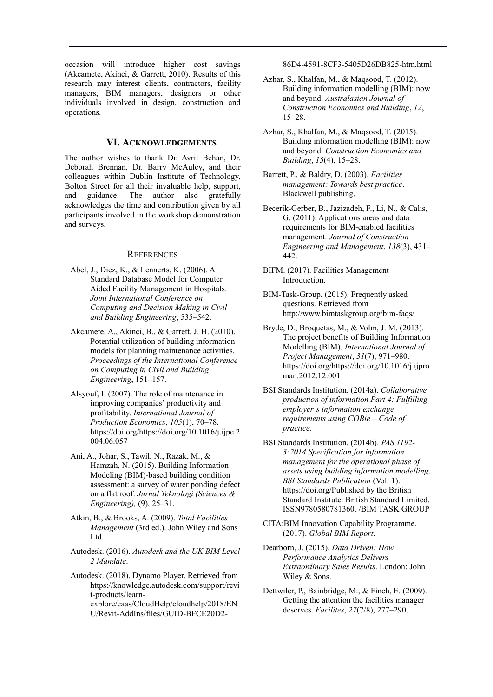occasion will introduce higher cost savings (Akcamete, Akinci, & Garrett, 2010). Results of this research may interest clients, contractors, facility managers, BIM managers, designers or other individuals involved in design, construction and operations.

## **VI. ACKNOWLEDGEMENTS**

The author wishes to thank Dr. Avril Behan, Dr. Deborah Brennan, Dr. Barry McAuley, and their colleagues within Dublin Institute of Technology, Bolton Street for all their invaluable help, support, and guidance. The author also gratefully acknowledges the time and contribution given by all participants involved in the workshop demonstration and surveys.

## **REFERENCES**

- Abel, J., Diez, K., & Lennerts, K. (2006). A Standard Database Model for Computer Aided Facility Management in Hospitals. *Joint International Conference on Computing and Decision Making in Civil and Building Engineering*, 535–542.
- Akcamete, A., Akinci, B., & Garrett, J. H. (2010). Potential utilization of building information models for planning maintenance activities. *Proceedings of the International Conference on Computing in Civil and Building Engineering*, 151–157.
- Alsyouf, I. (2007). The role of maintenance in improving companies' productivity and profitability. *International Journal of Production Economics*, *105*(1), 70–78. https://doi.org/https://doi.org/10.1016/j.ijpe.2 004.06.057
- Ani, A., Johar, S., Tawil, N., Razak, M., & Hamzah, N. (2015). Building Information Modeling (BIM)-based building condition assessment: a survey of water ponding defect on a flat roof. *Jurnal Teknologi (Sciences & Engineering),* (9), 25–31.
- Atkin, B., & Brooks, A. (2009). *Total Facilities Management* (3rd ed.). John Wiley and Sons Ltd.
- Autodesk. (2016). *Autodesk and the UK BIM Level 2 Mandate*.
- Autodesk. (2018). Dynamo Player. Retrieved from https://knowledge.autodesk.com/support/revi t-products/learnexplore/caas/CloudHelp/cloudhelp/2018/EN U/Revit-AddIns/files/GUID-BFCE20D2-

86D4-4591-8CF3-5405D26DB825-htm.html

- Azhar, S., Khalfan, M., & Maqsood, T. (2012). Building information modelling (BIM): now and beyond. *Australasian Journal of Construction Economics and Building*, *12*, 15–28.
- Azhar, S., Khalfan, M., & Maqsood, T. (2015). Building information modelling (BIM): now and beyond. *Construction Economics and Building*, *15*(4), 15–28.
- Barrett, P., & Baldry, D. (2003). *Facilities management: Towards best practice*. Blackwell publishing.
- Becerik-Gerber, B., Jazizadeh, F., Li, N., & Calis, G. (2011). Applications areas and data requirements for BIM-enabled facilities management. *Journal of Construction Engineering and Management*, *138*(3), 431– 442.
- BIFM. (2017). Facilities Management Introduction.
- BIM-Task-Group. (2015). Frequently asked questions. Retrieved from http://www.bimtaskgroup.org/bim-faqs/
- Bryde, D., Broquetas, M., & Volm, J. M. (2013). The project benefits of Building Information Modelling (BIM). *International Journal of Project Management*, *31*(7), 971–980. https://doi.org/https://doi.org/10.1016/j.ijpro man.2012.12.001
- BSI Standards Institution. (2014a). *Collaborative production of information Part 4: Fulfilling employer's information exchange requirements using COBie – Code of practice*.
- BSI Standards Institution. (2014b). *PAS 1192- 3:2014 Specification for information management for the operational phase of assets using building information modelling*. *BSI Standards Publication* (Vol. 1). https://doi.org/Published by the British Standard Institute. British Standard Limited. ISSN9780580781360. /BIM TASK GROUP
- CITA:BIM Innovation Capability Programme. (2017). *Global BIM Report*.
- Dearborn, J. (2015). *Data Driven: How Performance Analytics Delivers Extraordinary Sales Results*. London: John Wiley & Sons.
- Dettwiler, P., Bainbridge, M., & Finch, E. (2009). Getting the attention the facilities manager deserves. *Facilites*, *27*(7/8), 277–290.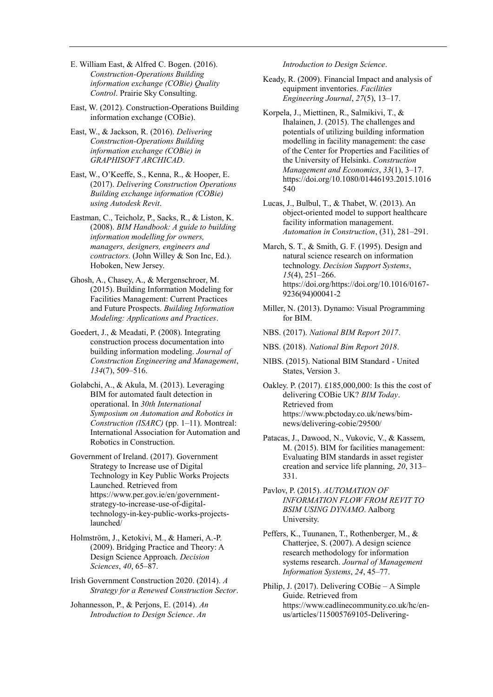- E. William East, & Alfred C. Bogen. (2016). *Construction-Operations Building information exchange (COBie) Quality Control*. Prairie Sky Consulting.
- East, W. (2012). Construction-Operations Building information exchange (COBie).
- East, W., & Jackson, R. (2016). *Delivering Construction-Operations Building information exchange (COBie) in GRAPHISOFT ARCHICAD*.
- East, W., O'Keeffe, S., Kenna, R., & Hooper, E. (2017). *Delivering Construction Operations Building exchange information (COBie) using Autodesk Revit*.
- Eastman, C., Teicholz, P., Sacks, R., & Liston, K. (2008). *BIM Handbook: A guide to building information modelling for owners, managers, designers, engineers and contractors*. (John Willey & Son Inc, Ed.). Hoboken, New Jersey.
- Ghosh, A., Chasey, A., & Mergenschroer, M. (2015). Building Information Modeling for Facilities Management: Current Practices and Future Prospects. *Building Information Modeling: Applications and Practices*.
- Goedert, J., & Meadati, P. (2008). Integrating construction process documentation into building information modeling. *Journal of Construction Engineering and Management*, *134*(7), 509–516.
- Golabchi, A., & Akula, M. (2013). Leveraging BIM for automated fault detection in operational. In *30th International Symposium on Automation and Robotics in Construction (ISARC)* (pp. 1–11). Montreal: International Association for Automation and Robotics in Construction.

Government of Ireland. (2017). Government Strategy to Increase use of Digital Technology in Key Public Works Projects Launched. Retrieved from https://www.per.gov.ie/en/governmentstrategy-to-increase-use-of-digitaltechnology-in-key-public-works-projectslaunched/

- Holmström, J., Ketokivi, M., & Hameri, A.-P. (2009). Bridging Practice and Theory: A Design Science Approach. *Decision Sciences*, *40*, 65–87.
- Irish Government Construction 2020. (2014). *A Strategy for a Renewed Construction Sector*.
- Johannesson, P., & Perjons, E. (2014). *An Introduction to Design Science*. *An*

*Introduction to Design Science*.

- Keady, R. (2009). Financial Impact and analysis of equipment inventories. *Facilities Engineering Journal*, *27*(5), 13–17.
- Korpela, J., Miettinen, R., Salmikivi, T., & Ihalainen, J. (2015). The challenges and potentials of utilizing building information modelling in facility management: the case of the Center for Properties and Facilities of the University of Helsinki. *Construction Management and Economics*, *33*(1), 3–17. https://doi.org/10.1080/01446193.2015.1016 540
- Lucas, J., Bulbul, T., & Thabet, W. (2013). An object-oriented model to support healthcare facility information management. *Automation in Construction*, (31), 281–291.
- March, S. T., & Smith, G. F. (1995). Design and natural science research on information technology. *Decision Support Systems*, *15*(4), 251–266. https://doi.org/https://doi.org/10.1016/0167- 9236(94)00041-2
- Miller, N. (2013). Dynamo: Visual Programming for BIM.
- NBS. (2017). *National BIM Report 2017*.
- NBS. (2018). *National Bim Report 2018*.
- NIBS. (2015). National BIM Standard United States, Version 3.
- Oakley. P. (2017). £185,000,000: Is this the cost of delivering COBie UK? *BIM Today*. Retrieved from https://www.pbctoday.co.uk/news/bimnews/delivering-cobie/29500/
- Patacas, J., Dawood, N., Vukovic, V., & Kassem, M. (2015). BIM for facilities management: Evaluating BIM standards in asset register creation and service life planning, *20*, 313– 331.
- Pavlov, P. (2015). *AUTOMATION OF INFORMATION FLOW FROM REVIT TO BSIM USING DYNAMO*. Aalborg University.
- Peffers, K., Tuunanen, T., Rothenberger, M., & Chatterjee, S. (2007). A design science research methodology for information systems research. *Journal of Management Information Systems*, *24*, 45–77.
- Philip, J. (2017). Delivering COBie A Simple Guide. Retrieved from https://www.cadlinecommunity.co.uk/hc/enus/articles/115005769105-Delivering-